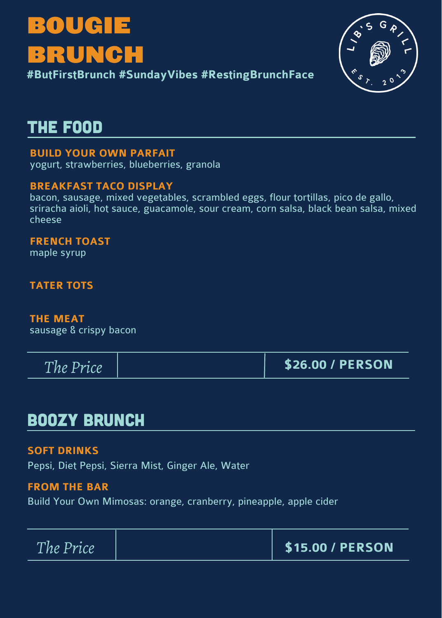

**#ButFirstBrunch #SundayVibes #RestingBrunchFace**



## The Food

**BUILD YOUR OWN PARFAIT** yogurt, strawberries, blueberries, granola

#### **BREAKFAST TACO DISPLAY**

bacon, sausage, mixed vegetables, scrambled eggs, flour tortillas, pico de gallo, sriracha aioli, hot sauce, guacamole, sour cream, corn salsa, black bean salsa, mixed cheese

#### **FRENCH TOAST**

maple syrup

#### **TATER TOTS**

#### **THE MEAT**

sausage & crispy bacon

*The Price* **\$26.00 / PERSON**

## Boozy Brunch

#### **SOFT DRINKS**

Pepsi, Diet Pepsi, Sierra Mist, Ginger Ale, Water

#### **FROM THE BAR**

Build Your Own Mimosas: orange, cranberry, pineapple, apple cider

| The Price | \$15.00 / PERSON |
|-----------|------------------|
|           |                  |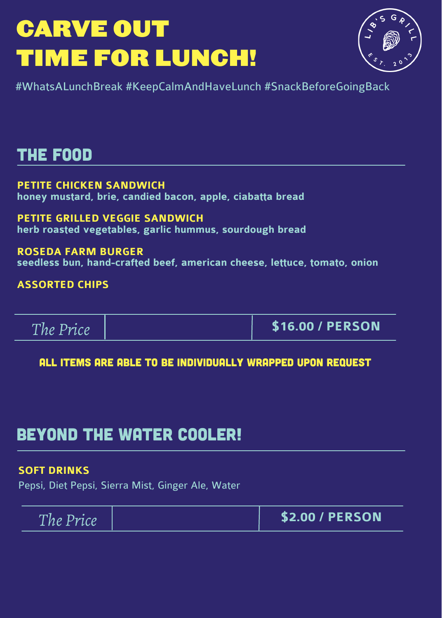# CARVE OUT TIME FOR LUNCH!



#WhatsALunchBreak #KeepCalmAndHaveLunch #SnackBeforeGoingBack

## The Food

**PETITE CHICKEN SANDWICH honey mustard, brie, candied bacon, apple, ciabatta bread**

**PETITE GRILLED VEGGIE SANDWICH herb roasted vegetables, garlic hummus, sourdough bread**

**ROSEDA FARM BURGER seedless bun, hand-crafted beef, american cheese, lettuce, tomato, onion**

#### **ASSORTED CHIPS**

*The Price* **\$16.00 / PERSON**

#### all items are able to be individually wrapped upon request

## Beyond The Water Cooler!

#### **SOFT DRINKS**

Pepsi, Diet Pepsi, Sierra Mist, Ginger Ale, Water

| The Price | <b>\$2.00 / PERSON</b> |
|-----------|------------------------|
|           |                        |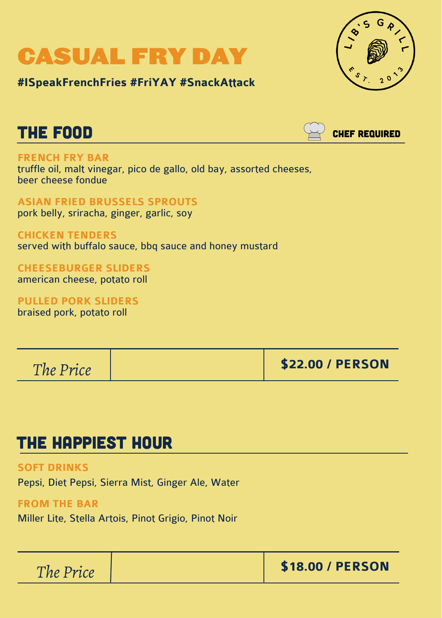# CASUAL FRY DAY





## The Food



**FRENCH FRY BAR** truffle oil, malt vinegar, pico de gallo, old bay, assorted cheeses, beer cheese fondue

#### **ASIAN FRIED BRUSSELS SPROUTS**

pork belly, sriracha, ginger, garlic, soy

**CHICKEN TENDERS** served with buffalo sauce, bbq sauce and honey mustard

**CHEESEBURGER SLIDERS** american cheese, potato roll

**PULLED PORK SLIDERS** braised pork, potato roll

| The Price |  | <b>\$22.00 / PERSON</b> |
|-----------|--|-------------------------|
|-----------|--|-------------------------|

## The Happiest Hour

**SOFT DRINKS** Pepsi, Diet Pepsi, Sierra Mist, Ginger Ale, Water

#### **FROM THE BAR**

Miller Lite, Stella Artois, Pinot Grigio, Pinot Noir

*The Price*

**\$18.00 / PERSON**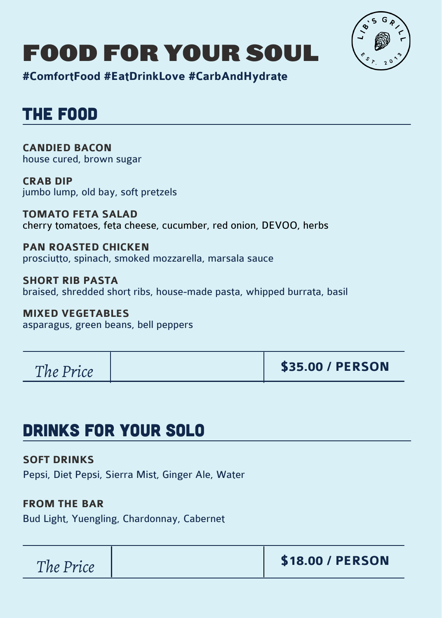

**#ComfortFood #EatDrinkLove #CarbAndHydrate**

FOOD FOR YOUR SOUL

## The Food

**CANDIED BACON** house cured, brown sugar

**CRAB DIP** jumbo lump, old bay, soft pretzels

**TOMATO FETA SALAD** cherry tomatoes, feta cheese, cucumber, red onion, DEVOO, herbs

**PAN ROASTED CHICKEN** prosciutto, spinach, smoked mozzarella, marsala sauce

**SHORT RIB PASTA** braised, shredded short ribs, house-made pasta, whipped burrata, basil

**MIXED VEGETABLES** asparagus, green beans, bell peppers

*The Price*

**\$35.00 / PERSON**

## Drinks For Your Solo

#### **SOFT DRINKS**

Pepsi, Diet Pepsi, Sierra Mist, Ginger Ale, Water

#### **FROM THE BAR**

Bud Light, Yuengling, Chardonnay, Cabernet

| The Price |
|-----------|
|-----------|

**\$18.00 / PERSON**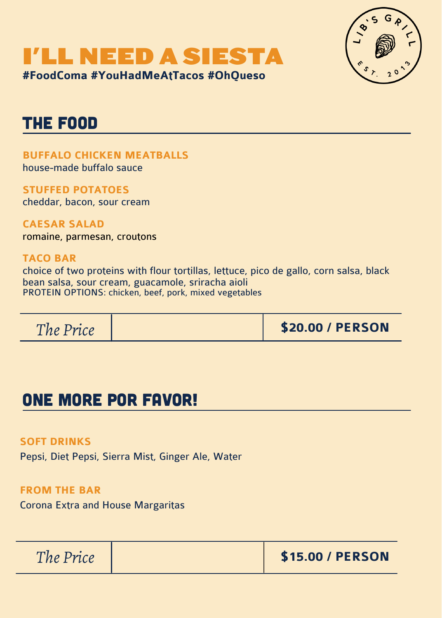



## The Food

**BUFFALO CHICKEN MEATBALLS** house-made buffalo sauce

**STUFFED POTATOES** cheddar, bacon, sour cream

**CAESAR SALAD** romaine, parmesan, croutons

#### **TACO BAR**

choice of two proteins with flour tortillas, lettuce, pico de gallo, corn salsa, black bean salsa, sour cream, guacamole, sriracha aioli PROTEIN OPTIONS: chicken, beef, pork, mixed vegetables

*The Price*

**\$20.00 / PERSON**

## One More Por Favor!

#### **SOFT DRINKS**

Pepsi, Diet Pepsi, Sierra Mist, Ginger Ale, Water

#### **FROM THE BAR**

Corona Extra and House Margaritas

*The Price* **\$15.00 / PERSON**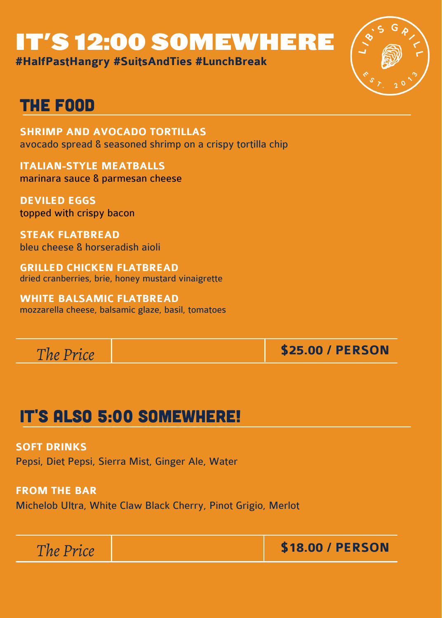IT'S 12:00 SOMEWHERE

**#HalfPastHangry #SuitsAndTies #LunchBreak**



## The Food

**SHRIMP AND AVOCADO TORTILLAS** avocado spread & seasoned shrimp on a crispy tortilla chip

**ITALIAN-STYLE MEATBALLS** marinara sauce & parmesan cheese

**DEVILED EGGS** topped with crispy bacon

**STEAK FLATBREAD** bleu cheese & horseradish aioli

**GRILLED CHICKEN FLATBREAD** dried cranberries, brie, honey mustard vinaigrette

**WHITE BALSAMIC FLATBREAD** mozzarella cheese, balsamic glaze, basil, tomatoes

## *The Price*

**\$25.00 / PERSON**

## **IT'S ALSO 5:00 SOMEWHERE!**

**SOFT DRINKS**

Pepsi, Diet Pepsi, Sierra Mist, Ginger Ale, Water

**FROM THE BAR** Michelob Ultra, White Claw Black Cherry, Pinot Grigio, Merlot

*The Price* **\$18.00 / PERSON**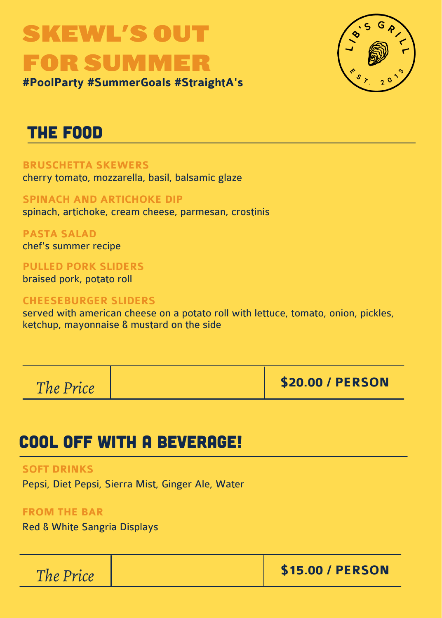# SKEWL'S OUT FOR SUMMER

**#PoolParty #SummerGoals #StraightA's**



## The Food

#### **BRUSCHETTA SKEWERS**

cherry tomato, mozzarella, basil, balsamic glaze

#### **SPINACH AND ARTICHOKE DIP**

spinach, artichoke, cream cheese, parmesan, crostinis

#### **PASTA SALAD** chef's summer recipe

#### **PULLED PORK SLIDERS**

braised pork, potato roll

#### **CHEESEBURGER SLIDERS**

served with american cheese on a potato roll with lettuce, tomato, onion, pickles, ketchup, mayonnaise & mustard on the side

| The Price | <b>\$20.00 / PERSON</b> |
|-----------|-------------------------|
|-----------|-------------------------|

## Cool Off with a Beverage!

#### **SOFT DRINKS**

Pepsi, Diet Pepsi, Sierra Mist, Ginger Ale, Water

#### **FROM THE BAR**

Red & White Sangria Displays

## *The Price*

**\$15.00 / PERSON**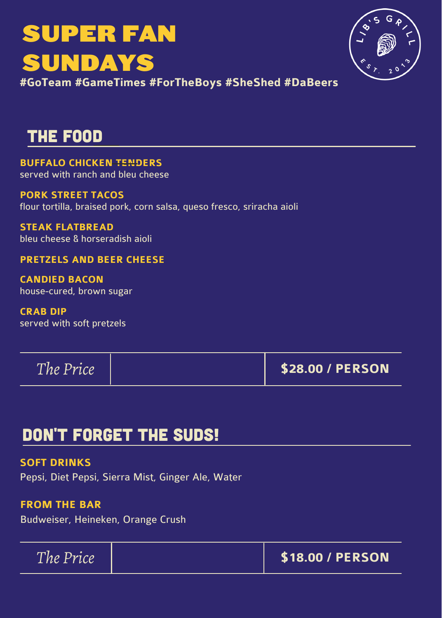



**#GoTeam #GameTimes #ForTheBoys #SheShed #DaBeers**

## The Food

**BUFFALO CHICKEN TENDERS** served with ranch and bleu cheese

**PORK STREET TACOS** flour tortilla, braised pork, corn salsa, queso fresco, sriracha aioli

**STEAK FLATBREAD** bleu cheese & horseradish aioli

#### **PRETZELS AND BEER CHEESE**

**CANDIED BACON** house-cured, brown sugar

**CRAB DIP** served with soft pretzels

**\$28.00 / PERSON**

## Don't Forget The Suds!

#### **SOFT DRINKS**

Pepsi, Diet Pepsi, Sierra Mist, Ginger Ale, Water

#### **FROM THE BAR**

Budweiser, Heineken, Orange Crush

| The Price | \$18.00 / PERSON |
|-----------|------------------|
|-----------|------------------|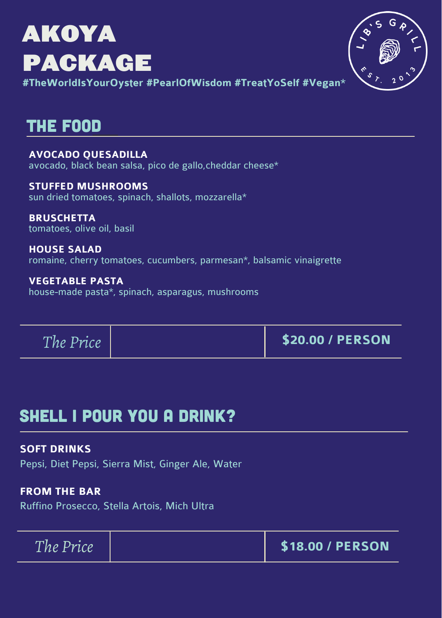# AKOYA PACKAGE



**#TheWorldIsYourOyster #PearlOfWisdom #TreatYoSelf #Vegan\***

## The Food

**AVOCADO QUESADILLA** avocado, black bean salsa, pico de gallo,cheddar cheese\*

**STUFFED MUSHROOMS** sun dried tomatoes, spinach, shallots, mozzarella\*

**BRUSCHETTA** tomatoes, olive oil, basil

**HOUSE SALAD** romaine, cherry tomatoes, cucumbers, parmesan\*, balsamic vinaigrette

**VEGETABLE PASTA** house-made pasta\*, spinach, asparagus, mushrooms

*The Price*

**\$20.00 / PERSON**

## SHELL I POUR YOU A DRINK?

#### **SOFT DRINKS**

Pepsi, Diet Pepsi, Sierra Mist, Ginger Ale, Water

#### **FROM THE BAR**

Ruffino Prosecco, Stella Artois, Mich Ultra

*The Price* **\$18.00 / PERSON**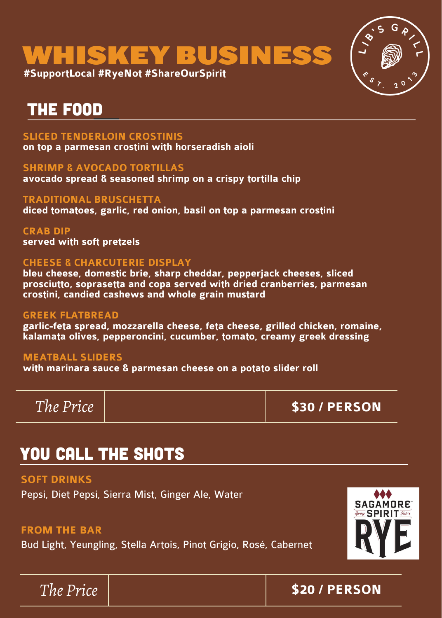**THISKEY BUSINES** 

**#SupportLocal #RyeNot #ShareOurSpirit**



## The Food

#### **SLICED TENDERLOIN CROSTINIS**

**on top a parmesan crostini with horseradish aioli**

#### **SHRIMP & AVOCADO TORTILLAS**

**avocado spread & seasoned shrimp on a crispy tortilla chip**

#### **TRADITIONAL BRUSCHETTA**

**diced tomatoes, garlic, red onion, basil on top a parmesan crostini**

#### **CRAB DIP**

**served with soft pretzels**

#### **CHEESE & CHARCUTERIE DISPLAY**

**bleu cheese, domestic brie, sharp cheddar, pepperjack cheeses, sliced prosciutto, soprasetta and copa served with dried cranberries, parmesan crostini, candied cashews and whole grain mustard**

#### **GREEK FLATBREAD**

**garlic-feta spread, mozzarella cheese, feta cheese, grilled chicken, romaine, kalamata olives, pepperoncini, cucumber, tomato, creamy greek dressing**

#### **MEATBALL SLIDERS**

**with marinara sauce & parmesan cheese on a potato slider roll**

| The Price |  | \$30 / PERSON |
|-----------|--|---------------|
|-----------|--|---------------|

## You Call The Shots

**SOFT DRINKS** Pepsi, Diet Pepsi, Sierra Mist, Ginger Ale, Water

#### **FROM THE BAR**

Bud Light, Yeungling, Stella Artois, Pinot Grigio, Rosé, Cabernet



*The Price*

**\$20 / PERSON**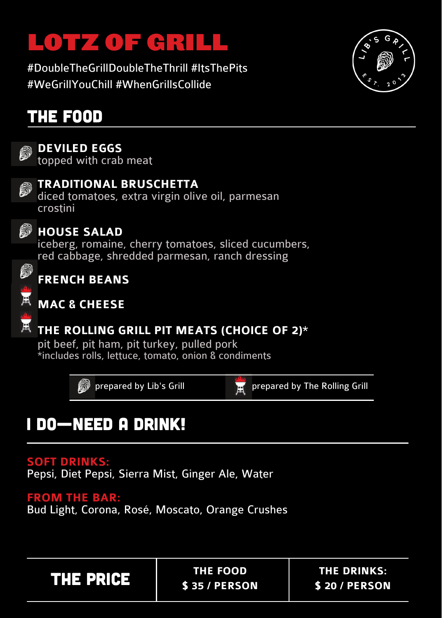# LOTZ OF GRILL

#DoubleTheGrillDoubleTheThrill #ItsThePits #WeGrillYouChill #WhenGrillsCollide



## the food

## **DEVILED EGGS**

topped with crab meat



## **TRADITIONAL BRUSCHETTA**

diced tomatoes, extra virgin olive oil, parmesan crostini



## **HOUSE SALAD**

iceberg, romaine, cherry tomatoes, sliced cucumbers, red cabbage, shredded parmesan, ranch dressing



#### **FRENCH BEANS**



## **MAC & CHEESE**

# **THE ROLLING GRILL PIT MEATS (CHOICE OF 2)\***

pit beef, pit ham, pit turkey, pulled pork \*includes rolls, lettuce, tomato, onion & condiments



prepared by Lib's Grill **prepared by The Rolling Grill** 

## I Do—Need a Drink!

#### **SOFT DRINKS:**

Pepsi, Diet Pepsi, Sierra Mist, Ginger Ale, Water

#### **FROM THE BAR:**

Bud Light, Corona, Rosé, Moscato, Orange Crushes

| <b>THE PRICE</b> | <b>THE FOOD</b> | <b>THE DRINKS:</b> |
|------------------|-----------------|--------------------|
|                  | \$35/PERSON     | \$20/PERSON        |
|                  |                 |                    |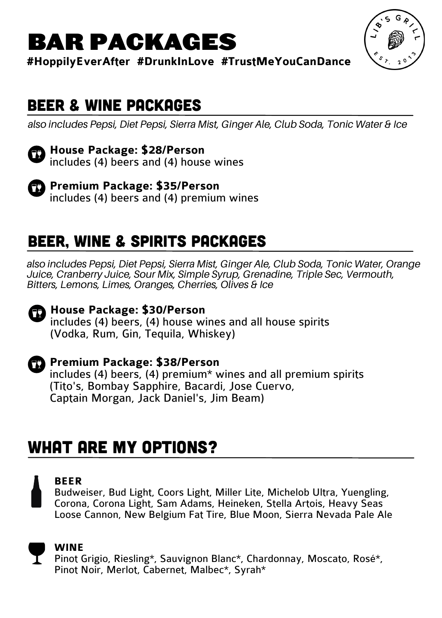# BAR PACKAGES

**#HoppilyEverAfter #DrunkInLove #TrustMeYouCanDance**



## BEER & WINE PACKAGES

*also includes Pepsi, Diet Pepsi, Sierra Mist, Ginger Ale, Club Soda, Tonic Water & Ice*



## **House Package: \$28/Person**

includes (4) beers and (4) house wines

**Premium Package: \$35/Person** includes (4) beers and (4) premium wines

## BEER, WINE & SPIRITS PACKAGES

*also includes Pepsi, Diet Pepsi, Sierra Mist, Ginger Ale, Club Soda, Tonic Water, Orange Juice, Cranberry Juice, Sour Mix, Simple Syrup, Grenadine, Triple Sec, Vermouth, Bitters, Lemons, Limes, Oranges, Cherries, Olives & Ice*



#### **House Package: \$30/Person**

includes (4) beers, (4) house wines and all house spirits (Vodka, Rum, Gin, Tequila, Whiskey)



includes (4) beers, (4) premium\* wines and all premium spirits (Tito's, Bombay Sapphire, Bacardi, Jose Cuervo, Captain Morgan, Jack Daniel's, Jim Beam)

## WHAT ARE MY OPTIONS?



#### **BEER**

Budweiser, Bud Light, Coors Light, Miller Lite, Michelob Ultra, Yuengling, Corona, Corona Light, Sam Adams, Heineken, Stella Artois, Heavy Seas Loose Cannon, New Belgium Fat Tire, Blue Moon, Sierra Nevada Pale Ale



#### **WINE**

Pinot Grigio, Riesling\*, Sauvignon Blanc\*, Chardonnay, Moscato, Rosé\*, Pinot Noir, Merlot, Cabernet, Malbec\*, Syrah\*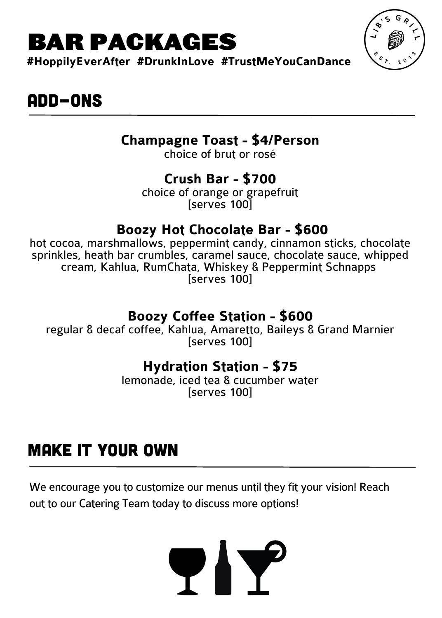BAR PACKAGES

**#HoppilyEverAfter #DrunkInLove #TrustMeYouCanDance**



## ADD-ONS

## **Champagne Toast - \$4/Person**

choice of brut or rosé

## **Crush Bar - \$700**

choice of orange or grapefruit [serves 100]

## **Boozy Hot Chocolate Bar - \$600**

hot cocoa, marshmallows, peppermint candy, cinnamon sticks, chocolate sprinkles, heath bar crumbles, caramel sauce, chocolate sauce, whipped cream, Kahlua, RumChata, Whiskey & Peppermint Schnapps [serves 100]

## **Boozy Coffee Station - \$600**

regular & decaf coffee, Kahlua, Amaretto, Baileys & Grand Marnier [serves 100]

## **Hydration Station - \$75**

lemonade, iced tea & cucumber water [serves 100]

## Make It Your Own

We encourage you to customize our menus until they fit your vision! Reach out to our Catering Team today to discuss more options!

# TIT